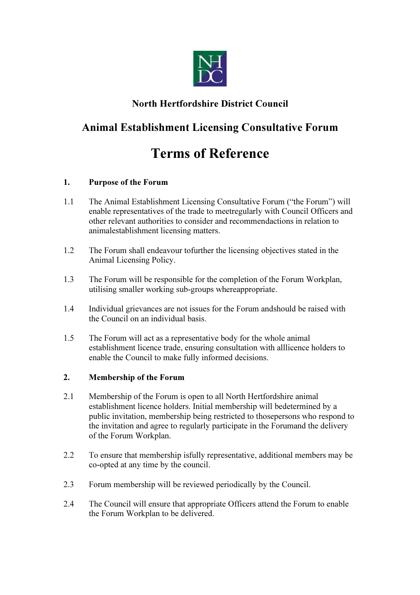

### North Hertfordshire District Council

## Animal Establishment Licensing Consultative Forum

# Terms of Reference

#### 1. Purpose of the Forum

- 1.1 The Animal Establishment Licensing Consultative Forum ("the Forum") will enable representatives of the trade to meetregularly with Council Officers and other relevant authorities to consider and recommendactions in relation to animalestablishment licensing matters.
- 1.2 The Forum shall endeavour tofurther the licensing objectives stated in the Animal Licensing Policy.
- 1.3 The Forum will be responsible for the completion of the Forum Workplan, utilising smaller working sub-groups whereappropriate.
- 1.4 Individual grievances are not issues for the Forum andshould be raised with the Council on an individual basis.
- 1.5 The Forum will act as a representative body for the whole animal establishment licence trade, ensuring consultation with alllicence holders to enable the Council to make fully informed decisions.

#### 2. Membership of the Forum

- 2.1 Membership of the Forum is open to all North Hertfordshire animal establishment licence holders. Initial membership will bedetermined by a public invitation, membership being restricted to thosepersons who respond to the invitation and agree to regularly participate in the Forumand the delivery of the Forum Workplan.
- 2.2 To ensure that membership isfully representative, additional members may be co-opted at any time by the council.
- 2.3 Forum membership will be reviewed periodically by the Council.
- 2.4 The Council will ensure that appropriate Officers attend the Forum to enable the Forum Workplan to be delivered.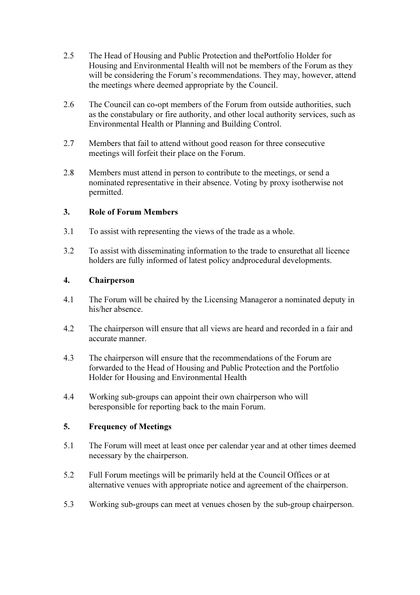- 2.5 The Head of Housing and Public Protection and thePortfolio Holder for Housing and Environmental Health will not be members of the Forum as they will be considering the Forum's recommendations. They may, however, attend the meetings where deemed appropriate by the Council.
- 2.6 The Council can co-opt members of the Forum from outside authorities, such as the constabulary or fire authority, and other local authority services, such as Environmental Health or Planning and Building Control.
- 2.7 Members that fail to attend without good reason for three consecutive meetings will forfeit their place on the Forum.
- 2.8 Members must attend in person to contribute to the meetings, or send a nominated representative in their absence. Voting by proxy isotherwise not permitted.

#### 3. Role of Forum Members

- 3.1 To assist with representing the views of the trade as a whole.
- 3.2 To assist with disseminating information to the trade to ensurethat all licence holders are fully informed of latest policy andprocedural developments.

#### 4. Chairperson

- 4.1 The Forum will be chaired by the Licensing Manageror a nominated deputy in his/her absence.
- 4.2 The chairperson will ensure that all views are heard and recorded in a fair and accurate manner.
- 4.3 The chairperson will ensure that the recommendations of the Forum are forwarded to the Head of Housing and Public Protection and the Portfolio Holder for Housing and Environmental Health
- 4.4 Working sub-groups can appoint their own chairperson who will beresponsible for reporting back to the main Forum.

#### 5. Frequency of Meetings

- 5.1 The Forum will meet at least once per calendar year and at other times deemed necessary by the chairperson.
- 5.2 Full Forum meetings will be primarily held at the Council Offices or at alternative venues with appropriate notice and agreement of the chairperson.
- 5.3 Working sub-groups can meet at venues chosen by the sub-group chairperson.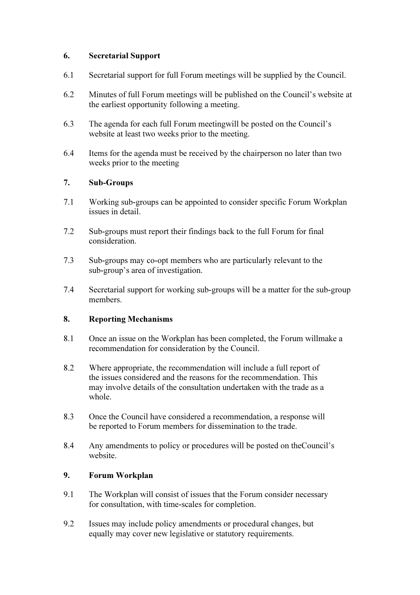#### 6. Secretarial Support

- 6.1 Secretarial support for full Forum meetings will be supplied by the Council.
- 6.2 Minutes of full Forum meetings will be published on the Council's website at the earliest opportunity following a meeting.
- 6.3 The agenda for each full Forum meetingwill be posted on the Council's website at least two weeks prior to the meeting.
- 6.4 Items for the agenda must be received by the chairperson no later than two weeks prior to the meeting

#### 7. Sub-Groups

- 7.1 Working sub-groups can be appointed to consider specific Forum Workplan issues in detail.
- 7.2 Sub-groups must report their findings back to the full Forum for final consideration.
- 7.3 Sub-groups may co-opt members who are particularly relevant to the sub-group's area of investigation.
- 7.4 Secretarial support for working sub-groups will be a matter for the sub-group members.

#### 8. Reporting Mechanisms

- 8.1 Once an issue on the Workplan has been completed, the Forum willmake a recommendation for consideration by the Council.
- 8.2 Where appropriate, the recommendation will include a full report of the issues considered and the reasons for the recommendation. This may involve details of the consultation undertaken with the trade as a whole.
- 8.3 Once the Council have considered a recommendation, a response will be reported to Forum members for dissemination to the trade.
- 8.4 Any amendments to policy or procedures will be posted on theCouncil's website.

#### 9. Forum Workplan

- 9.1 The Workplan will consist of issues that the Forum consider necessary for consultation, with time-scales for completion.
- 9.2 Issues may include policy amendments or procedural changes, but equally may cover new legislative or statutory requirements.